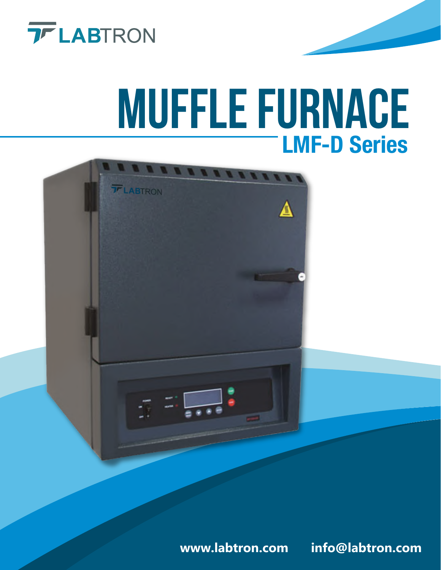

# **MUFFLE FURNACE** LMF-D Series



**www.labtron.com info@labtron.com**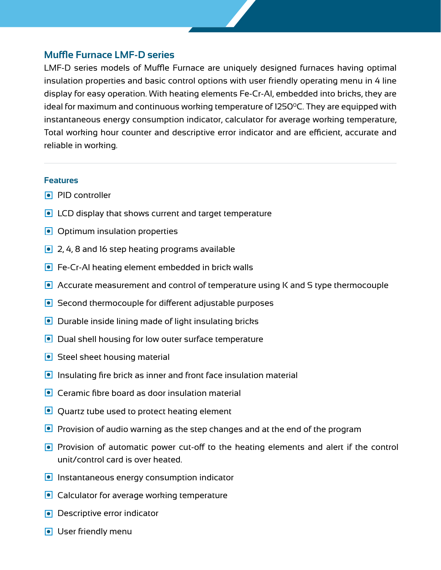## **Muffle Furnace LMF-D series**

LMF-D series models of Muffle Furnace are uniquely designed furnaces having optimal insulation properties and basic control options with user friendly operating menu in 4 line display for easy operation. With heating elements Fe-Cr-Al, embedded into bricks, they are ideal for maximum and continuous working temperature of 1250 $^{\circ}$ C. They are equipped with instantaneous energy consumption indicator, calculator for average working temperature, Total working hour counter and descriptive error indicator and are efficient, accurate and reliable in working.

## **Features**

- **PID** controller
- **I** LCD display that shows current and target temperature
- **Optimum insulation properties**
- **■** 2, 4, 8 and 16 step heating programs available
- **•** Fe-Cr-Al heating element embedded in brick walls
- Accurate measurement and control of temperature using K and S type thermocouple
- Second thermocouple for different adjustable purposes
- $\bullet$  Durable inside lining made of light insulating bricks
- Dual shell housing for low outer surface temperature
- Steel sheet housing material
- $\bullet$  Insulating fire brick as inner and front face insulation material
- **•** Ceramic fibre board as door insulation material
- **Quartz tube used to protect heating element**
- **P** Provision of audio warning as the step changes and at the end of the program
- **Provision of automatic power cut-off to the heating elements and alert if the control** unit/control card is over heated.
- **Instantaneous energy consumption indicator**
- **Calculator for average working temperature**
- **Descriptive error indicator**
- **O** User friendly menu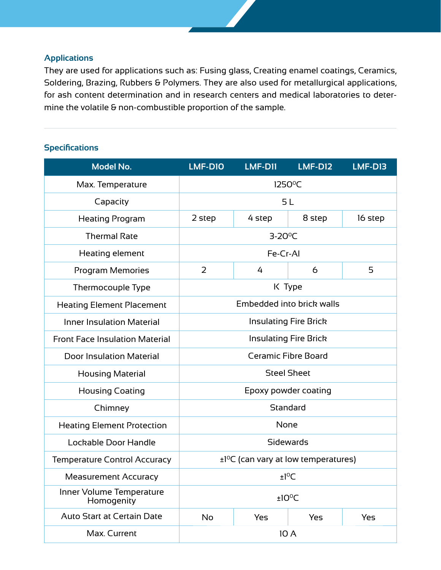## **Applications**

They are used for applications such as: Fusing glass, Creating enamel coatings, Ceramics, Soldering, Brazing, Rubbers & Polymers. They are also used for metallurgical applications, for ash content determination and in research centers and medical laboratories to determine the volatile & non-combustible proportion of the sample.

## **Specifications**

| <b>Model No.</b>                       | LMF-D10                      | LMF-D11         | <b>LMF-D12</b>                                        | LMF-D13 |
|----------------------------------------|------------------------------|-----------------|-------------------------------------------------------|---------|
| Max. Temperature                       | $1250^{\circ}$ C             |                 |                                                       |         |
| Capacity                               | 5L                           |                 |                                                       |         |
| <b>Heating Program</b>                 | 2 step                       | 4 step          | 8 step                                                | 16 step |
| <b>Thermal Rate</b>                    |                              | $3-20^{\circ}C$ |                                                       |         |
| Heating element                        |                              | Fe-Cr-Al        |                                                       |         |
| <b>Program Memories</b>                | 2                            | 4               | 6                                                     | 5       |
| Thermocouple Type                      |                              |                 | K Type                                                |         |
| <b>Heating Element Placement</b>       |                              |                 | Embedded into brick walls                             |         |
| <b>Inner Insulation Material</b>       | <b>Insulating Fire Brick</b> |                 |                                                       |         |
| <b>Front Face Insulation Material</b>  | <b>Insulating Fire Brick</b> |                 |                                                       |         |
| <b>Door Insulation Material</b>        |                              |                 | <b>Ceramic Fibre Board</b>                            |         |
| <b>Housing Material</b>                | <b>Steel Sheet</b>           |                 |                                                       |         |
| <b>Housing Coating</b>                 |                              |                 | Epoxy powder coating                                  |         |
| Chimney                                |                              |                 | Standard                                              |         |
| <b>Heating Element Protection</b>      |                              | None            |                                                       |         |
| Lockable Door Handle                   |                              |                 | <b>Sidewards</b>                                      |         |
| <b>Temperature Control Accuracy</b>    |                              |                 | $\pm$ 1 <sup>o</sup> C (can vary at low temperatures) |         |
| <b>Measurement Accuracy</b>            | ±1°C                         |                 |                                                       |         |
| Inner Volume Temperature<br>Homogenity | ±10°C                        |                 |                                                       |         |
| <b>Auto Start at Certain Date</b>      | No<br>Yes<br>Yes<br>Yes      |                 |                                                       |         |
| Max. Current                           | 10 A                         |                 |                                                       |         |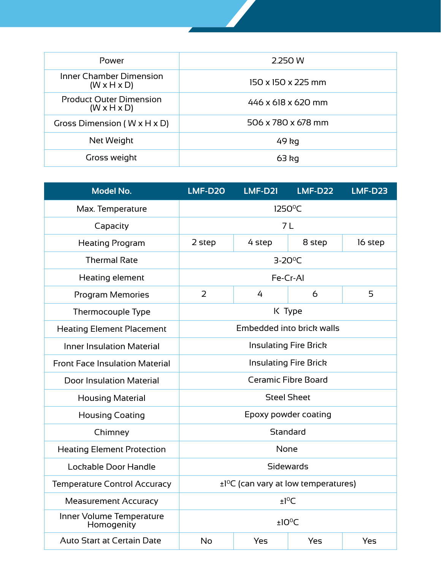| Power                                                     | 2.250 W            |
|-----------------------------------------------------------|--------------------|
| <b>Inner Chamber Dimension</b><br>$(W \times H \times D)$ | 150 x 150 x 225 mm |
| <b>Product Outer Dimension</b><br>$(W \times H \times D)$ | 446 x 618 x 620 mm |
| Gross Dimension ( $W \times H \times D$ )                 | 506 x 780 x 678 mm |
| Net Weight                                                | 49 kg              |
| Gross weight                                              | $63$ kg            |

| <b>Model No.</b>                       | LMF-D20                      | <b>LMF-D21</b> | <b>LMF-D22</b>                                        | <b>LMF-D23</b> |  |
|----------------------------------------|------------------------------|----------------|-------------------------------------------------------|----------------|--|
| Max. Temperature                       | 1250°C                       |                |                                                       |                |  |
| Capacity                               | 7L                           |                |                                                       |                |  |
| <b>Heating Program</b>                 | 2 step                       | 4 step         | 8 step                                                | 16 step        |  |
| <b>Thermal Rate</b>                    |                              |                | $3-20$ <sup>o</sup> C                                 |                |  |
| Heating element                        |                              |                | Fe-Cr-AI                                              |                |  |
| <b>Program Memories</b>                | $\overline{2}$               | 4              | 6                                                     | 5              |  |
| Thermocouple Type                      |                              |                | K Type                                                |                |  |
| <b>Heating Element Placement</b>       |                              |                | Embedded into brick walls                             |                |  |
| <b>Inner Insulation Material</b>       | <b>Insulating Fire Brick</b> |                |                                                       |                |  |
| <b>Front Face Insulation Material</b>  |                              |                | <b>Insulating Fire Brick</b>                          |                |  |
| <b>Door Insulation Material</b>        | Ceramic Fibre Board          |                |                                                       |                |  |
| <b>Housing Material</b>                |                              |                | <b>Steel Sheet</b>                                    |                |  |
| <b>Housing Coating</b>                 |                              |                | Epoxy powder coating                                  |                |  |
| Chimney                                |                              |                | Standard                                              |                |  |
| <b>Heating Element Protection</b>      |                              | None           |                                                       |                |  |
| Lockable Door Handle                   |                              |                | <b>Sidewards</b>                                      |                |  |
| <b>Temperature Control Accuracy</b>    |                              |                | $\pm$ 1 <sup>o</sup> C (can vary at low temperatures) |                |  |
| <b>Measurement Accuracy</b>            | $±1^{\circ}C$                |                |                                                       |                |  |
| Inner Volume Temperature<br>Homogenity | ±10°C                        |                |                                                       |                |  |
| <b>Auto Start at Certain Date</b>      | <b>No</b>                    | Yes            | Yes                                                   | Yes            |  |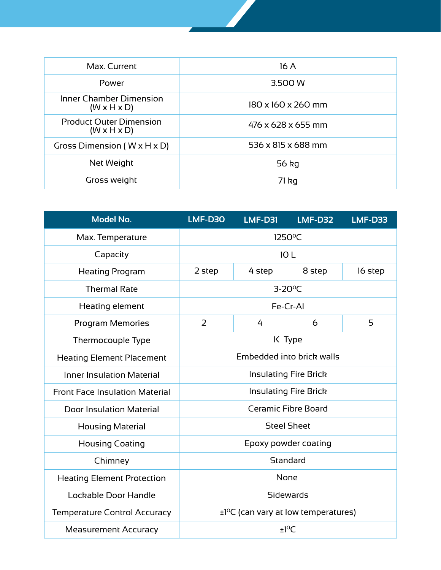| Max. Current                                              | 16 A               |  |  |  |  |
|-----------------------------------------------------------|--------------------|--|--|--|--|
| Power                                                     | 3.500 W            |  |  |  |  |
| Inner Chamber Dimension<br>$(W \times H \times D)$        | 180 x 160 x 260 mm |  |  |  |  |
| <b>Product Outer Dimension</b><br>$(W \times H \times D)$ | 476 x 628 x 655 mm |  |  |  |  |
| Gross Dimension ( $W \times H \times D$ )                 | 536 x 815 x 688 mm |  |  |  |  |
| Net Weight                                                | 56 kg              |  |  |  |  |
| Gross weight                                              | 71 kg              |  |  |  |  |

| <b>Model No.</b>                      | LMF-D30                                               | <b>LMF-D31</b>             | LMF-D32 | LMF-D33 |
|---------------------------------------|-------------------------------------------------------|----------------------------|---------|---------|
| Max. Temperature                      | 1250°C                                                |                            |         |         |
| Capacity                              |                                                       | 10L                        |         |         |
| <b>Heating Program</b>                | 2 step                                                | 4 step                     | 8 step  | 16 step |
| <b>Thermal Rate</b>                   |                                                       | $3-20^{\circ}C$            |         |         |
| Heating element                       |                                                       | Fe-Cr-AI                   |         |         |
| <b>Program Memories</b>               | 2                                                     | 4                          | 6       | 5       |
| Thermocouple Type                     |                                                       | K Type                     |         |         |
| <b>Heating Element Placement</b>      | Embedded into brick walls                             |                            |         |         |
| <b>Inner Insulation Material</b>      | <b>Insulating Fire Brick</b>                          |                            |         |         |
| <b>Front Face Insulation Material</b> | <b>Insulating Fire Brick</b>                          |                            |         |         |
| <b>Door Insulation Material</b>       |                                                       | <b>Ceramic Fibre Board</b> |         |         |
| <b>Housing Material</b>               | <b>Steel Sheet</b>                                    |                            |         |         |
| <b>Housing Coating</b>                | Epoxy powder coating                                  |                            |         |         |
| Chimney                               | Standard                                              |                            |         |         |
| <b>Heating Element Protection</b>     | None                                                  |                            |         |         |
| Lockable Door Handle                  | Sidewards                                             |                            |         |         |
| <b>Temperature Control Accuracy</b>   | $\pm$ 1 <sup>o</sup> C (can vary at low temperatures) |                            |         |         |
| <b>Measurement Accuracy</b>           | $±1^{\circ}$ C                                        |                            |         |         |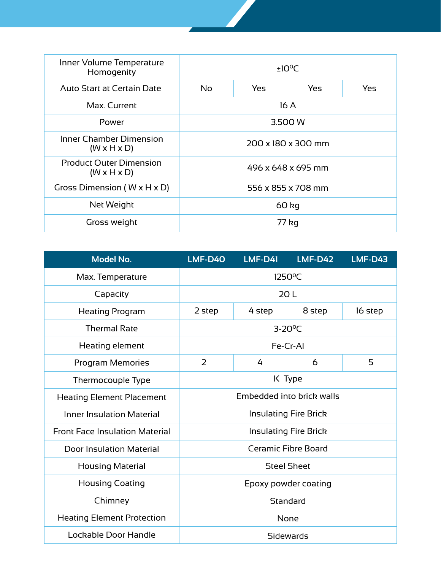| Inner Volume Temperature<br>Homogenity                    | $±10^{\circ}$ C                 |  |  |  |  |
|-----------------------------------------------------------|---------------------------------|--|--|--|--|
| Auto Start at Certain Date                                | No.<br>Yes<br>Yes<br><b>Yes</b> |  |  |  |  |
| Max. Current                                              | 16A                             |  |  |  |  |
| Power                                                     | 3.500 W                         |  |  |  |  |
| Inner Chamber Dimension<br>$(W \times H \times D)$        | 200 x 180 x 300 mm              |  |  |  |  |
| <b>Product Outer Dimension</b><br>$(W \times H \times D)$ | 496 x 648 x 695 mm              |  |  |  |  |
| Gross Dimension ( $W \times H \times D$ )                 | 556 x 855 x 708 mm              |  |  |  |  |
| Net Weight                                                | 60 kg                           |  |  |  |  |
| Gross weight                                              | 77 kg                           |  |  |  |  |

| <b>Model No.</b>                      | LMF-D40                      | $LMF-D41$                  | <b>LMF-D42</b> | <b>LMF-D43</b> |  |
|---------------------------------------|------------------------------|----------------------------|----------------|----------------|--|
| Max. Temperature                      |                              | $1250^{\circ}$ C           |                |                |  |
| Capacity                              |                              | 20L                        |                |                |  |
| <b>Heating Program</b>                | 2 step                       | 4 step                     | 8 step         | 16 step        |  |
| <b>Thermal Rate</b>                   |                              | $3-20^{\circ}$ C           |                |                |  |
| Heating element                       |                              | Fe-Cr-Al                   |                |                |  |
| Program Memories                      | 2                            | 4                          | 6              | 5              |  |
| Thermocouple Type                     | K Type                       |                            |                |                |  |
| <b>Heating Element Placement</b>      | Embedded into brick walls    |                            |                |                |  |
| Inner Insulation Material             | <b>Insulating Fire Brick</b> |                            |                |                |  |
| <b>Front Face Insulation Material</b> | <b>Insulating Fire Brick</b> |                            |                |                |  |
| <b>Door Insulation Material</b>       |                              | <b>Ceramic Fibre Board</b> |                |                |  |
| <b>Housing Material</b>               | <b>Steel Sheet</b>           |                            |                |                |  |
| <b>Housing Coating</b>                | Epoxy powder coating         |                            |                |                |  |
| Chimney                               | Standard                     |                            |                |                |  |
| <b>Heating Element Protection</b>     | None                         |                            |                |                |  |
| Lockable Door Handle                  | Sidewards                    |                            |                |                |  |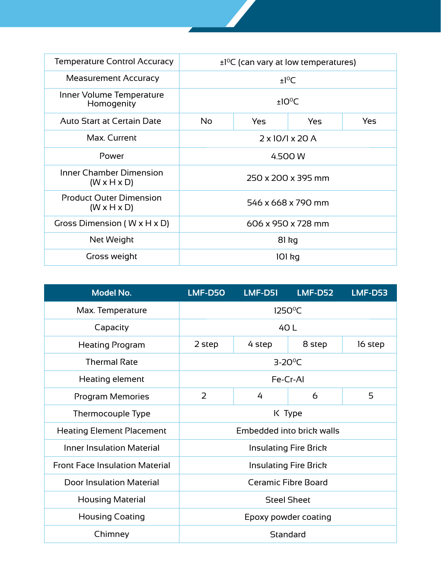| <b>Temperature Control Accuracy</b>                       | $\pm$ 1 <sup>o</sup> C (can vary at low temperatures) |  |  |  |  |
|-----------------------------------------------------------|-------------------------------------------------------|--|--|--|--|
| <b>Measurement Accuracy</b>                               | $±1^{\circ}C$                                         |  |  |  |  |
| Inner Volume Temperature<br>Homogenity                    | $±10^{\circ}$ C                                       |  |  |  |  |
| <b>Auto Start at Certain Date</b>                         | No.<br>Yes<br>Yes<br>Yes                              |  |  |  |  |
| Max. Current                                              | $2 \times 10/1 \times 20$ A                           |  |  |  |  |
| Power                                                     | 4.500 W                                               |  |  |  |  |
| Inner Chamber Dimension<br>$(W \times H \times D)$        | 250 x 200 x 395 mm                                    |  |  |  |  |
| <b>Product Outer Dimension</b><br>$(W \times H \times D)$ | 546 x 668 x 790 mm                                    |  |  |  |  |
| Gross Dimension ( $W \times H \times D$ )                 | 606 x 950 x 728 mm                                    |  |  |  |  |
| Net Weight                                                | $81$ kg                                               |  |  |  |  |
| Gross weight                                              | 101 kg                                                |  |  |  |  |

| <b>Model No.</b>                      | LMF-D50                    | LMF-D51 | LMF-D52                      | <b>LMF-D53</b> |
|---------------------------------------|----------------------------|---------|------------------------------|----------------|
| Max. Temperature                      | 1250°C                     |         |                              |                |
| Capacity                              |                            |         | 40 L                         |                |
| <b>Heating Program</b>                | 2 step                     | 4 step  | 8 step                       | 16 step        |
| <b>Thermal Rate</b>                   | $3-20^{\circ}C$            |         |                              |                |
| Heating element                       | Fe-Cr-Al                   |         |                              |                |
| Program Memories                      | $\overline{2}$             | 4       | 6                            | 5              |
| Thermocouple Type                     | K Type                     |         |                              |                |
| <b>Heating Element Placement</b>      | Embedded into brick walls  |         |                              |                |
| <b>Inner Insulation Material</b>      |                            |         | <b>Insulating Fire Brick</b> |                |
| <b>Front Face Insulation Material</b> |                            |         | <b>Insulating Fire Brick</b> |                |
| <b>Door Insulation Material</b>       | <b>Ceramic Fibre Board</b> |         |                              |                |
| <b>Housing Material</b>               | <b>Steel Sheet</b>         |         |                              |                |
| <b>Housing Coating</b>                | Epoxy powder coating       |         |                              |                |
| Chimney                               | Standard                   |         |                              |                |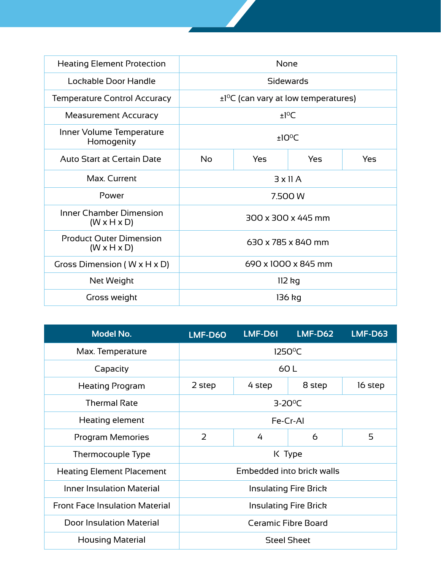| <b>Heating Element Protection</b>                         | None                                                  |     |               |  |  |
|-----------------------------------------------------------|-------------------------------------------------------|-----|---------------|--|--|
| Lockable Door Handle                                      | Sidewards                                             |     |               |  |  |
| <b>Temperature Control Accuracy</b>                       | $\pm$ 1 <sup>o</sup> C (can vary at low temperatures) |     |               |  |  |
| <b>Measurement Accuracy</b>                               |                                                       |     | $±1^{\circ}C$ |  |  |
| Inner Volume Temperature<br>Homogenity                    | $±10^{\circ}$ C                                       |     |               |  |  |
| <b>Auto Start at Certain Date</b>                         | <b>No</b>                                             | Yes |               |  |  |
| Max. Current                                              | $3 \times 11$ A                                       |     |               |  |  |
| Power                                                     | 7.500 W                                               |     |               |  |  |
| <b>Inner Chamber Dimension</b><br>$(W \times H \times D)$ | 300 x 300 x 445 mm                                    |     |               |  |  |
| <b>Product Outer Dimension</b><br>$(W \times H \times D)$ | 630 x 785 x 840 mm                                    |     |               |  |  |
| Gross Dimension ( $W \times H \times D$ )                 | 690 x 1000 x 845 mm                                   |     |               |  |  |
| Net Weight                                                | 112 kg                                                |     |               |  |  |
| Gross weight                                              | 136 kg                                                |     |               |  |  |

| <b>Model No.</b>                      | LMF-D60                      | LMF-D61 | LMF-D62                   | <b>LMF-D63</b> |
|---------------------------------------|------------------------------|---------|---------------------------|----------------|
| Max. Temperature                      | $1250^{\circ}$ C             |         |                           |                |
| Capacity                              |                              |         | 60L                       |                |
| <b>Heating Program</b>                | 2 step                       | 4 step  | 8 step                    | 16 step        |
| <b>Thermal Rate</b>                   | $3-20^{\circ}$ C             |         |                           |                |
| Heating element                       | Fe-Cr-Al                     |         |                           |                |
| Program Memories                      | 2                            | 4       | 6                         | 5              |
| Thermocouple Type                     |                              |         | K Type                    |                |
| <b>Heating Element Placement</b>      |                              |         | Embedded into brick walls |                |
| <b>Inner Insulation Material</b>      | <b>Insulating Fire Brick</b> |         |                           |                |
| <b>Front Face Insulation Material</b> | <b>Insulating Fire Brick</b> |         |                           |                |
| <b>Door Insulation Material</b>       | <b>Ceramic Fibre Board</b>   |         |                           |                |
| <b>Housing Material</b>               | <b>Steel Sheet</b>           |         |                           |                |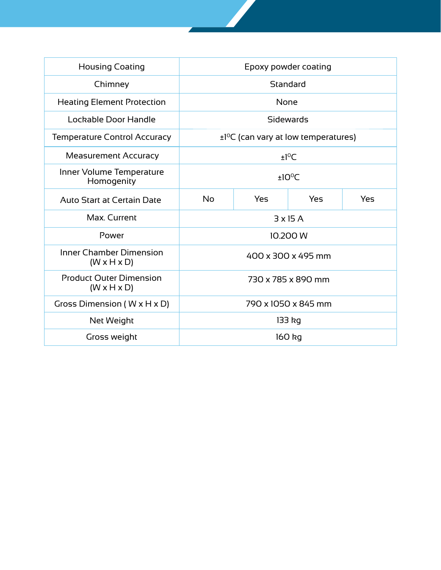| <b>Housing Coating</b>                                    | Epoxy powder coating           |                                                       |                 |  |  |
|-----------------------------------------------------------|--------------------------------|-------------------------------------------------------|-----------------|--|--|
| Chimney                                                   | Standard                       |                                                       |                 |  |  |
| <b>Heating Element Protection</b>                         | None                           |                                                       |                 |  |  |
| Lockable Door Handle                                      |                                |                                                       | Sidewards       |  |  |
| <b>Temperature Control Accuracy</b>                       |                                | $\pm$ 1 <sup>o</sup> C (can vary at low temperatures) |                 |  |  |
| <b>Measurement Accuracy</b>                               | $±1^{\circ}$ C                 |                                                       |                 |  |  |
| Inner Volume Temperature<br>Homogenity                    | ±10°C                          |                                                       |                 |  |  |
| <b>Auto Start at Certain Date</b>                         | <b>No</b><br>Yes<br>Yes<br>Yes |                                                       |                 |  |  |
| Max. Current                                              |                                |                                                       | $3 \times 15$ A |  |  |
| Power                                                     |                                |                                                       | 10.200 W        |  |  |
| <b>Inner Chamber Dimension</b><br>$(W \times H \times D)$ | 400 x 300 x 495 mm             |                                                       |                 |  |  |
| <b>Product Outer Dimension</b><br>$(W \times H \times D)$ | 730 x 785 x 890 mm             |                                                       |                 |  |  |
| Gross Dimension ( $W \times H \times D$ )                 | 790 x 1050 x 845 mm            |                                                       |                 |  |  |
| Net Weight                                                | 133 kg                         |                                                       |                 |  |  |
| Gross weight                                              |                                |                                                       | 160 kg          |  |  |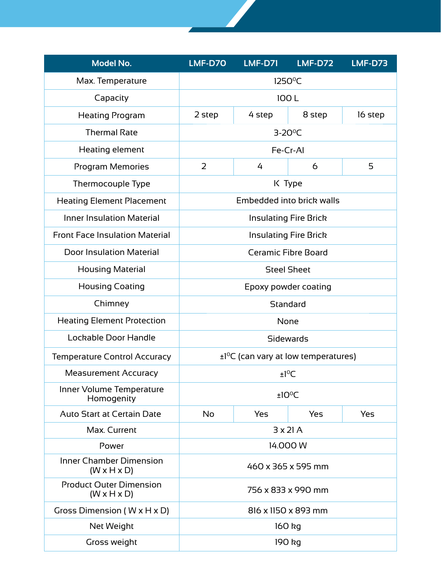| <b>Model No.</b>                                          | LMF-D70                                               | <b>LMF-D71</b> | <b>LMF-D72</b> | <b>LMF-D73</b> |
|-----------------------------------------------------------|-------------------------------------------------------|----------------|----------------|----------------|
| Max. Temperature                                          | 1250 <sup>°</sup> C                                   |                |                |                |
| Capacity                                                  | 100L                                                  |                |                |                |
| <b>Heating Program</b>                                    | 2 step                                                | 4 step         | 8 step         | 16 step        |
| <b>Thermal Rate</b>                                       | $3-20$ <sup>o</sup> C                                 |                |                |                |
| Heating element                                           | Fe-Cr-Al                                              |                |                |                |
| Program Memories                                          | $\overline{2}$                                        | 4              | 6              | 5              |
| Thermocouple Type                                         | K Type                                                |                |                |                |
| <b>Heating Element Placement</b>                          | Embedded into brick walls                             |                |                |                |
| <b>Inner Insulation Material</b>                          | <b>Insulating Fire Brick</b>                          |                |                |                |
| <b>Front Face Insulation Material</b>                     | <b>Insulating Fire Brick</b>                          |                |                |                |
| <b>Door Insulation Material</b>                           | <b>Ceramic Fibre Board</b>                            |                |                |                |
| <b>Housing Material</b>                                   | <b>Steel Sheet</b>                                    |                |                |                |
| <b>Housing Coating</b>                                    | Epoxy powder coating                                  |                |                |                |
| Chimney                                                   | Standard                                              |                |                |                |
| <b>Heating Element Protection</b>                         | None                                                  |                |                |                |
| Lockable Door Handle                                      | Sidewards                                             |                |                |                |
| <b>Temperature Control Accuracy</b>                       | $\pm$ 1 <sup>o</sup> C (can vary at low temperatures) |                |                |                |
| <b>Measurement Accuracy</b>                               | $±1^{\circ}C$                                         |                |                |                |
| Inner Volume Temperature<br>Homogenity                    | $±10^{\circ}$ C                                       |                |                |                |
| <b>Auto Start at Certain Date</b>                         | No                                                    | <b>Yes</b>     | Yes            | <b>Yes</b>     |
| Max. Current                                              | $3 \times 21$ A                                       |                |                |                |
| Power                                                     | 14.000 W                                              |                |                |                |
| <b>Inner Chamber Dimension</b><br>$(W \times H \times D)$ | 460 x 365 x 595 mm                                    |                |                |                |
| <b>Product Outer Dimension</b><br>$(W \times H \times D)$ | 756 x 833 x 990 mm                                    |                |                |                |
| Gross Dimension ( $W \times H \times D$ )                 | 816 x 1150 x 893 mm                                   |                |                |                |
| Net Weight                                                | 160 kg                                                |                |                |                |
| Gross weight                                              | 190 kg                                                |                |                |                |